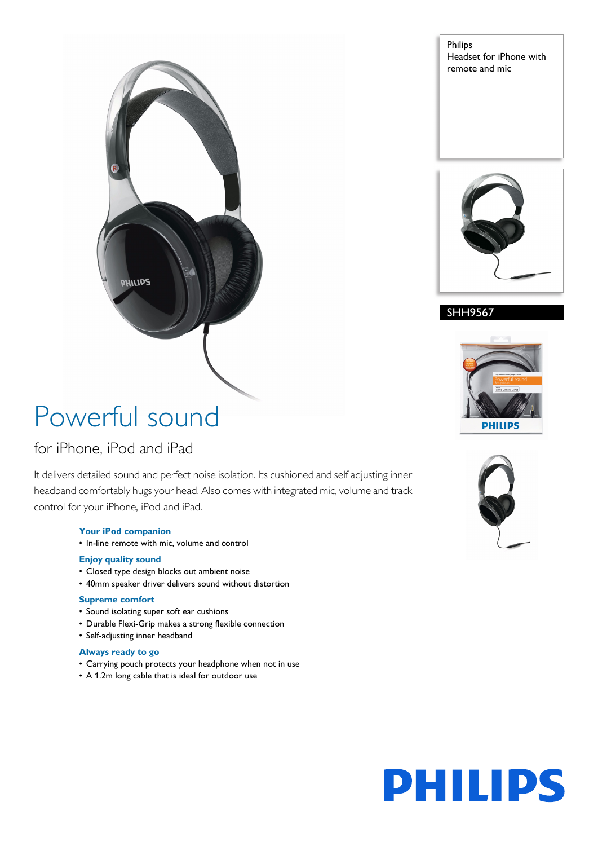Philips Headset for iPhone with remote and mic



#### SHH9567



## Powerful sound

**DHILIPS** 

### for iPhone, iPod and iPad

It delivers detailed sound and perfect noise isolation. Its cushioned and self adjusting inner headband comfortably hugs your head. Also comes with integrated mic, volume and track control for your iPhone, iPod and iPad.

#### **Your iPod companion**

• In-line remote with mic, volume and control

#### **Enjoy quality sound**

- Closed type design blocks out ambient noise
- 40mm speaker driver delivers sound without distortion

#### **Supreme comfort**

- Sound isolating super soft ear cushions
- Durable Flexi-Grip makes a strong flexible connection
- Self-adjusting inner headband

#### **Always ready to go**

- Carrying pouch protects your headphone when not in use
- A 1.2m long cable that is ideal for outdoor use



# **PHILIPS**